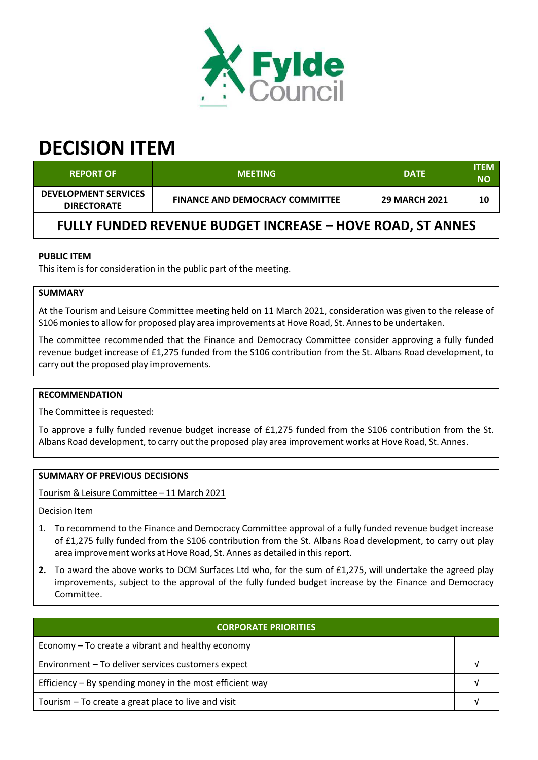

# **DECISION ITEM**

| <b>REPORT OF</b>                                                  | <b>MEETING</b>                         | <b>DATE</b>          | <b>ITEM</b><br><b>NO</b> |  |  |
|-------------------------------------------------------------------|----------------------------------------|----------------------|--------------------------|--|--|
| <b>DEVELOPMENT SERVICES</b><br><b>DIRECTORATE</b>                 | <b>FINANCE AND DEMOCRACY COMMITTEE</b> | <b>29 MARCH 2021</b> | 10                       |  |  |
| <b>FULLY FUNDED REVENUE BUDGET INCREASE - HOVE ROAD, ST ANNES</b> |                                        |                      |                          |  |  |

## **PUBLIC ITEM**

This item is for consideration in the public part of the meeting.

## **SUMMARY**

At the Tourism and Leisure Committee meeting held on 11 March 2021, consideration was given to the release of S106 moniesto allow for proposed play area improvements at Hove Road, St. Annesto be undertaken.

The committee recommended that the Finance and Democracy Committee consider approving a fully funded revenue budget increase of £1,275 funded from the S106 contribution from the St. Albans Road development, to carry out the proposed play improvements.

#### **RECOMMENDATION**

The Committee is requested:

To approve a fully funded revenue budget increase of £1,275 funded from the S106 contribution from the St. Albans Road development, to carry out the proposed play area improvement works at Hove Road, St. Annes.

#### **SUMMARY OF PREVIOUS DECISIONS**

Tourism & Leisure Committee – 11 March 2021

Decision Item

- 1. To recommend to the Finance and Democracy Committee approval of a fully funded revenue budget increase of £1,275 fully funded from the S106 contribution from the St. Albans Road development, to carry out play area improvement works at Hove Road, St. Annes as detailed in thisreport.
- **2.** To award the above works to DCM Surfaces Ltd who, for the sum of £1,275, will undertake the agreed play improvements, subject to the approval of the fully funded budget increase by the Finance and Democracy Committee.

| <u>'CORP</u> ORATE PRIORITIES.                             |  |  |  |
|------------------------------------------------------------|--|--|--|
| Economy – To create a vibrant and healthy economy          |  |  |  |
| Environment - To deliver services customers expect         |  |  |  |
| Efficiency $-$ By spending money in the most efficient way |  |  |  |
| Tourism – To create a great place to live and visit        |  |  |  |